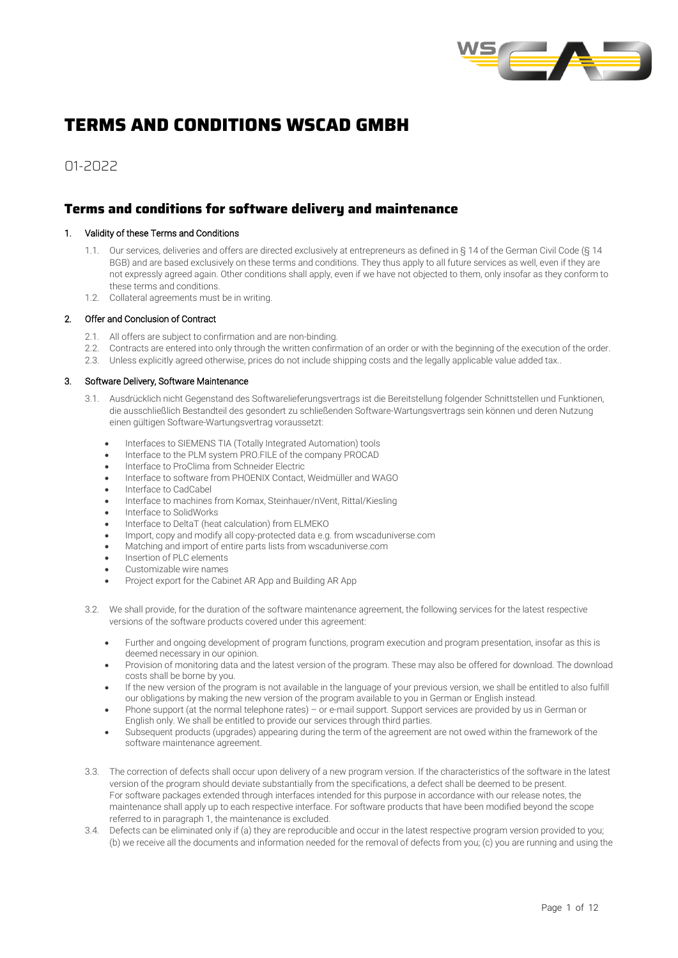

# **TERMS AND CONDITIONS WSCAD GMBH**

01-2022

# **Terms and conditions for software delivery and maintenance**

# 1. Validity of these Terms and Conditions

- 1.1. Our services, deliveries and offers are directed exclusively at entrepreneurs as defined in § 14 of the German Civil Code (§ 14 BGB) and are based exclusively on these terms and conditions. They thus apply to all future services as well, even if they are not expressly agreed again. Other conditions shall apply, even if we have not objected to them, only insofar as they conform to these terms and conditions.
- 1.2. Collateral agreements must be in writing.

# 2. Offer and Conclusion of Contract

- 2.1. All offers are subject to confirmation and are non-binding.
- 2.2. Contracts are entered into only through the written confirmation of an order or with the beginning of the execution of the order.
- 2.3. Unless explicitly agreed otherwise, prices do not include shipping costs and the legally applicable value added tax..

#### 3. Software Delivery, Software Maintenance

- 3.1. Ausdrücklich nicht Gegenstand des Softwarelieferungsvertrags ist die Bereitstellung folgender Schnittstellen und Funktionen, die ausschließlich Bestandteil des gesondert zu schließenden Software-Wartungsvertrags sein können und deren Nutzung einen gültigen Software-Wartungsvertrag voraussetzt:
	- Interfaces to SIEMENS TIA (Totally Integrated Automation) tools
	- Interface to the PLM system PRO.FILE of the company PROCAD
	- Interface to ProClima from Schneider Electric
	- Interface to software from PHOENIX Contact, Weidmüller and WAGO
	- Interface to CadCabel
	- Interface to machines from Komax, Steinhauer/nVent, Rittal/Kiesling
	- Interface to SolidWorks
	- Interface to DeltaT (heat calculation) from ELMEKO
	- Import, copy and modify all copy-protected data e.g. from wscaduniverse.com
	- Matching and import of entire parts lists from wscaduniverse.com
	- Insertion of PLC elements
	- Customizable wire names
	- Project export for the Cabinet AR App and Building AR App
- 3.2. We shall provide, for the duration of the software maintenance agreement, the following services for the latest respective versions of the software products covered under this agreement:
	- Further and ongoing development of program functions, program execution and program presentation, insofar as this is deemed necessary in our opinion.
	- Provision of monitoring data and the latest version of the program. These may also be offered for download. The download costs shall be borne by you.
	- If the new version of the program is not available in the language of your previous version, we shall be entitled to also fulfill our obligations by making the new version of the program available to you in German or English instead.
	- Phone support (at the normal telephone rates) or e-mail support. Support services are provided by us in German or English only. We shall be entitled to provide our services through third parties.
	- Subsequent products (upgrades) appearing during the term of the agreement are not owed within the framework of the software maintenance agreement.
- 3.3. The correction of defects shall occur upon delivery of a new program version. If the characteristics of the software in the latest version of the program should deviate substantially from the specifications, a defect shall be deemed to be present. For software packages extended through interfaces intended for this purpose in accordance with our release notes, the maintenance shall apply up to each respective interface. For software products that have been modified beyond the scope referred to in paragraph 1, the maintenance is excluded.
- 3.4. Defects can be eliminated only if (a) they are reproducible and occur in the latest respective program version provided to you; (b) we receive all the documents and information needed for the removal of defects from you; (c) you are running and using the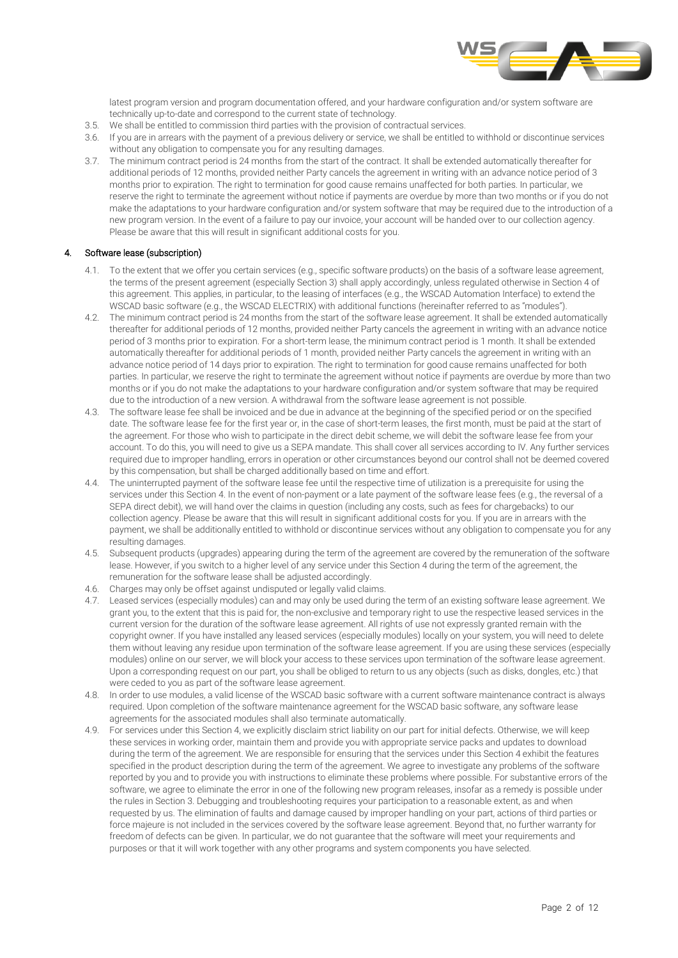

latest program version and program documentation offered, and your hardware configuration and/or system software are technically up-to-date and correspond to the current state of technology.

- 3.5. We shall be entitled to commission third parties with the provision of contractual services.
- 3.6. If you are in arrears with the payment of a previous delivery or service, we shall be entitled to withhold or discontinue services without any obligation to compensate you for any resulting damages.
- 3.7. The minimum contract period is 24 months from the start of the contract. It shall be extended automatically thereafter for additional periods of 12 months, provided neither Party cancels the agreement in writing with an advance notice period of 3 months prior to expiration. The right to termination for good cause remains unaffected for both parties. In particular, we reserve the right to terminate the agreement without notice if payments are overdue by more than two months or if you do not make the adaptations to your hardware configuration and/or system software that may be required due to the introduction of a new program version. In the event of a failure to pay our invoice, your account will be handed over to our collection agency. Please be aware that this will result in significant additional costs for you.

# 4. Software lease (subscription)

- 4.1. To the extent that we offer you certain services (e.g., specific software products) on the basis of a software lease agreement, the terms of the present agreement (especially Section 3) shall apply accordingly, unless regulated otherwise in Section 4 of this agreement. This applies, in particular, to the leasing of interfaces (e.g., the WSCAD Automation Interface) to extend the WSCAD basic software (e.g., the WSCAD ELECTRIX) with additional functions (hereinafter referred to as "modules").
- 4.2. The minimum contract period is 24 months from the start of the software lease agreement. It shall be extended automatically thereafter for additional periods of 12 months, provided neither Party cancels the agreement in writing with an advance notice period of 3 months prior to expiration. For a short-term lease, the minimum contract period is 1 month. It shall be extended automatically thereafter for additional periods of 1 month, provided neither Party cancels the agreement in writing with an advance notice period of 14 days prior to expiration. The right to termination for good cause remains unaffected for both parties. In particular, we reserve the right to terminate the agreement without notice if payments are overdue by more than two months or if you do not make the adaptations to your hardware configuration and/or system software that may be required due to the introduction of a new version. A withdrawal from the software lease agreement is not possible.
- 4.3. The software lease fee shall be invoiced and be due in advance at the beginning of the specified period or on the specified date. The software lease fee for the first year or, in the case of short-term leases, the first month, must be paid at the start of the agreement. For those who wish to participate in the direct debit scheme, we will debit the software lease fee from your account. To do this, you will need to give us a SEPA mandate. This shall cover all services according to IV. Any further services required due to improper handling, errors in operation or other circumstances beyond our control shall not be deemed covered by this compensation, but shall be charged additionally based on time and effort.
- 4.4. The uninterrupted payment of the software lease fee until the respective time of utilization is a prerequisite for using the services under this Section 4. In the event of non-payment or a late payment of the software lease fees (e.g., the reversal of a SEPA direct debit), we will hand over the claims in question (including any costs, such as fees for chargebacks) to our collection agency. Please be aware that this will result in significant additional costs for you. If you are in arrears with the payment, we shall be additionally entitled to withhold or discontinue services without any obligation to compensate you for any resulting damages.
- 4.5. Subsequent products (upgrades) appearing during the term of the agreement are covered by the remuneration of the software lease. However, if you switch to a higher level of any service under this Section 4 during the term of the agreement, the remuneration for the software lease shall be adjusted accordingly.
- 4.6. Charges may only be offset against undisputed or legally valid claims.
- 4.7. Leased services (especially modules) can and may only be used during the term of an existing software lease agreement. We grant you, to the extent that this is paid for, the non-exclusive and temporary right to use the respective leased services in the current version for the duration of the software lease agreement. All rights of use not expressly granted remain with the copyright owner. If you have installed any leased services (especially modules) locally on your system, you will need to delete them without leaving any residue upon termination of the software lease agreement. If you are using these services (especially modules) online on our server, we will block your access to these services upon termination of the software lease agreement. Upon a corresponding request on our part, you shall be obliged to return to us any objects (such as disks, dongles, etc.) that were ceded to you as part of the software lease agreement.
- 4.8. In order to use modules, a valid license of the WSCAD basic software with a current software maintenance contract is always required. Upon completion of the software maintenance agreement for the WSCAD basic software, any software lease agreements for the associated modules shall also terminate automatically.
- 4.9. For services under this Section 4, we explicitly disclaim strict liability on our part for initial defects. Otherwise, we will keep these services in working order, maintain them and provide you with appropriate service packs and updates to download during the term of the agreement. We are responsible for ensuring that the services under this Section 4 exhibit the features specified in the product description during the term of the agreement. We agree to investigate any problems of the software reported by you and to provide you with instructions to eliminate these problems where possible. For substantive errors of the software, we agree to eliminate the error in one of the following new program releases, insofar as a remedy is possible under the rules in Section 3. Debugging and troubleshooting requires your participation to a reasonable extent, as and when requested by us. The elimination of faults and damage caused by improper handling on your part, actions of third parties or force majeure is not included in the services covered by the software lease agreement. Beyond that, no further warranty for freedom of defects can be given. In particular, we do not guarantee that the software will meet your requirements and purposes or that it will work together with any other programs and system components you have selected.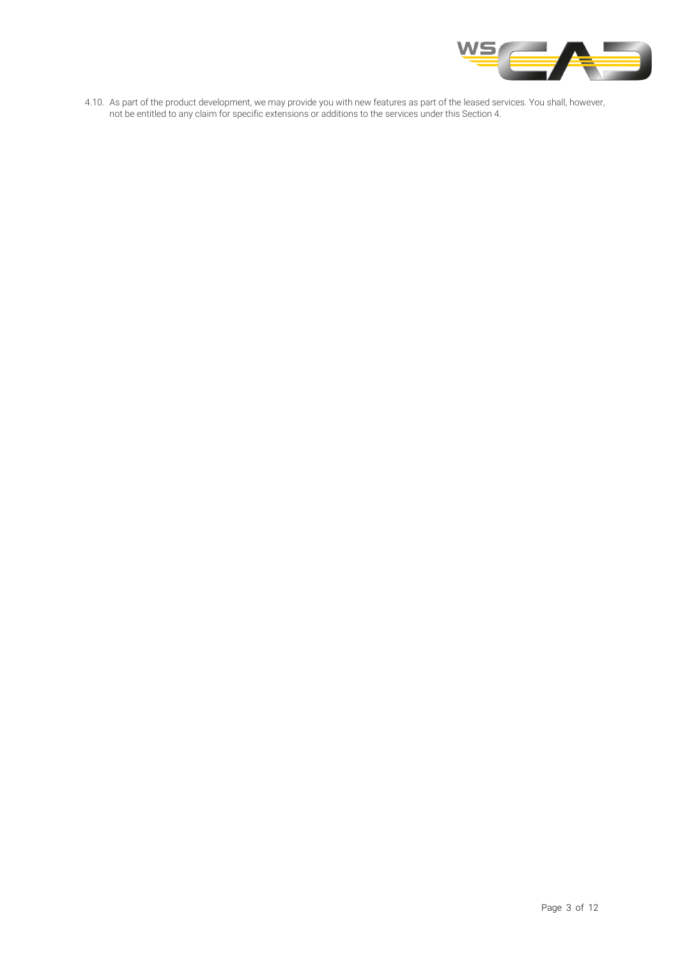

4.10. As part of the product development, we may provide you with new features as part of the leased services. You shall, however, not be entitled to any claim for specific extensions or additions to the services under this Section 4.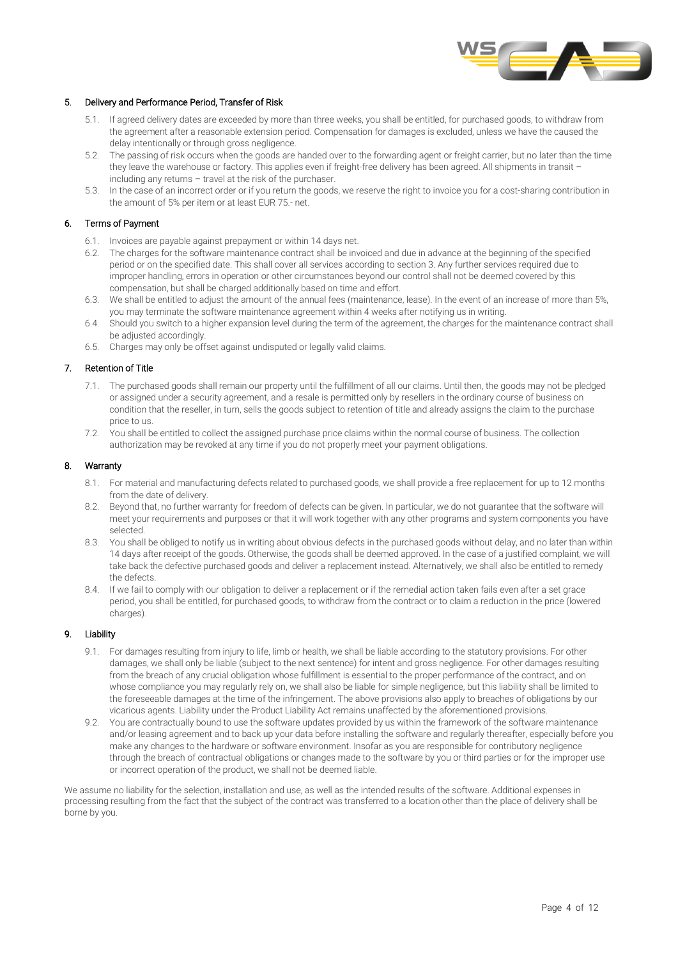

# 5. Delivery and Performance Period, Transfer of Risk

- 5.1. If agreed delivery dates are exceeded by more than three weeks, you shall be entitled, for purchased goods, to withdraw from the agreement after a reasonable extension period. Compensation for damages is excluded, unless we have the caused the delay intentionally or through gross negligence.
- 5.2. The passing of risk occurs when the goods are handed over to the forwarding agent or freight carrier, but no later than the time they leave the warehouse or factory. This applies even if freight-free delivery has been agreed. All shipments in transit – including any returns – travel at the risk of the purchaser.
- 5.3. In the case of an incorrect order or if you return the goods, we reserve the right to invoice you for a cost-sharing contribution in the amount of 5% per item or at least EUR 75.- net.

# 6. Terms of Payment

- 6.1. Invoices are payable against prepayment or within 14 days net.
- 6.2. The charges for the software maintenance contract shall be invoiced and due in advance at the beginning of the specified period or on the specified date. This shall cover all services according to section 3. Any further services required due to improper handling, errors in operation or other circumstances beyond our control shall not be deemed covered by this compensation, but shall be charged additionally based on time and effort.
- 6.3. We shall be entitled to adjust the amount of the annual fees (maintenance, lease). In the event of an increase of more than 5%, you may terminate the software maintenance agreement within 4 weeks after notifying us in writing.
- 6.4. Should you switch to a higher expansion level during the term of the agreement, the charges for the maintenance contract shall be adjusted accordingly.
- 6.5. Charges may only be offset against undisputed or legally valid claims.

# 7. Retention of Title

- 7.1. The purchased goods shall remain our property until the fulfillment of all our claims. Until then, the goods may not be pledged or assigned under a security agreement, and a resale is permitted only by resellers in the ordinary course of business on condition that the reseller, in turn, sells the goods subject to retention of title and already assigns the claim to the purchase price to us.
- 7.2. You shall be entitled to collect the assigned purchase price claims within the normal course of business. The collection authorization may be revoked at any time if you do not properly meet your payment obligations.

# 8. Warranty

- 8.1. For material and manufacturing defects related to purchased goods, we shall provide a free replacement for up to 12 months from the date of delivery.
- 8.2. Beyond that, no further warranty for freedom of defects can be given. In particular, we do not guarantee that the software will meet your requirements and purposes or that it will work together with any other programs and system components you have selected.
- 8.3. You shall be obliged to notify us in writing about obvious defects in the purchased goods without delay, and no later than within 14 days after receipt of the goods. Otherwise, the goods shall be deemed approved. In the case of a justified complaint, we will take back the defective purchased goods and deliver a replacement instead. Alternatively, we shall also be entitled to remedy the defects.
- 8.4. If we fail to comply with our obligation to deliver a replacement or if the remedial action taken fails even after a set grace period, you shall be entitled, for purchased goods, to withdraw from the contract or to claim a reduction in the price (lowered charges).

# 9. Liability

- 9.1. For damages resulting from injury to life, limb or health, we shall be liable according to the statutory provisions. For other damages, we shall only be liable (subject to the next sentence) for intent and gross negligence. For other damages resulting from the breach of any crucial obligation whose fulfillment is essential to the proper performance of the contract, and on whose compliance you may regularly rely on, we shall also be liable for simple negligence, but this liability shall be limited to the foreseeable damages at the time of the infringement. The above provisions also apply to breaches of obligations by our vicarious agents. Liability under the Product Liability Act remains unaffected by the aforementioned provisions.
- 9.2. You are contractually bound to use the software updates provided by us within the framework of the software maintenance and/or leasing agreement and to back up your data before installing the software and regularly thereafter, especially before you make any changes to the hardware or software environment. Insofar as you are responsible for contributory negligence through the breach of contractual obligations or changes made to the software by you or third parties or for the improper use or incorrect operation of the product, we shall not be deemed liable.

We assume no liability for the selection, installation and use, as well as the intended results of the software. Additional expenses in processing resulting from the fact that the subject of the contract was transferred to a location other than the place of delivery shall be borne by you.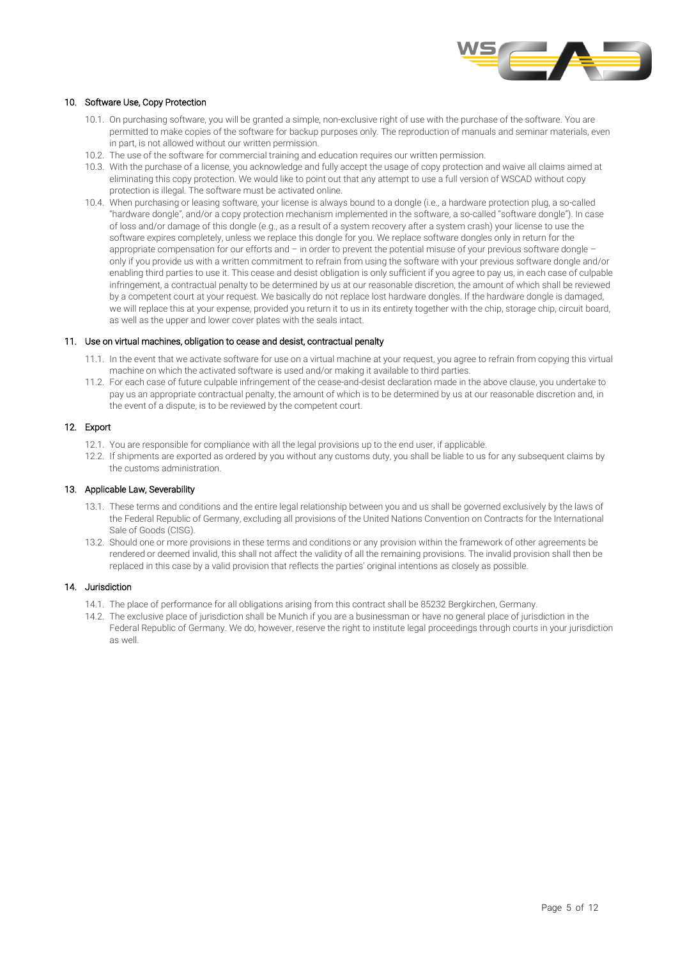

# 10. Software Use, Copy Protection

- 10.1. On purchasing software, you will be granted a simple, non-exclusive right of use with the purchase of the software. You are permitted to make copies of the software for backup purposes only. The reproduction of manuals and seminar materials, even in part, is not allowed without our written permission.
- 10.2. The use of the software for commercial training and education requires our written permission.
- 10.3. With the purchase of a license, you acknowledge and fully accept the usage of copy protection and waive all claims aimed at eliminating this copy protection. We would like to point out that any attempt to use a full version of WSCAD without copy protection is illegal. The software must be activated online.
- 10.4. When purchasing or leasing software, your license is always bound to a dongle (i.e., a hardware protection plug, a so-called "hardware dongle", and/or a copy protection mechanism implemented in the software, a so-called "software dongle"). In case of loss and/or damage of this dongle (e.g., as a result of a system recovery after a system crash) your license to use the software expires completely, unless we replace this dongle for you. We replace software dongles only in return for the appropriate compensation for our efforts and – in order to prevent the potential misuse of your previous software dongle – only if you provide us with a written commitment to refrain from using the software with your previous software dongle and/or enabling third parties to use it. This cease and desist obligation is only sufficient if you agree to pay us, in each case of culpable infringement, a contractual penalty to be determined by us at our reasonable discretion, the amount of which shall be reviewed by a competent court at your request. We basically do not replace lost hardware dongles. If the hardware dongle is damaged, we will replace this at your expense, provided you return it to us in its entirety together with the chip, storage chip, circuit board, as well as the upper and lower cover plates with the seals intact.

# 11. Use on virtual machines, obligation to cease and desist, contractual penalty

- 11.1. In the event that we activate software for use on a virtual machine at your request, you agree to refrain from copying this virtual machine on which the activated software is used and/or making it available to third parties.
- 11.2. For each case of future culpable infringement of the cease-and-desist declaration made in the above clause, you undertake to pay us an appropriate contractual penalty, the amount of which is to be determined by us at our reasonable discretion and, in the event of a dispute, is to be reviewed by the competent court.

# 12. Export

- 12.1. You are responsible for compliance with all the legal provisions up to the end user, if applicable.
- 12.2. If shipments are exported as ordered by you without any customs duty, you shall be liable to us for any subsequent claims by the customs administration.

# 13. Applicable Law, Severability

- 13.1. These terms and conditions and the entire legal relationship between you and us shall be governed exclusively by the laws of the Federal Republic of Germany, excluding all provisions of the United Nations Convention on Contracts for the International Sale of Goods (CISG).
- 13.2. Should one or more provisions in these terms and conditions or any provision within the framework of other agreements be rendered or deemed invalid, this shall not affect the validity of all the remaining provisions. The invalid provision shall then be replaced in this case by a valid provision that reflects the parties' original intentions as closely as possible.

#### 14. Jurisdiction

- 14.1. The place of performance for all obligations arising from this contract shall be 85232 Bergkirchen, Germany.
- 14.2. The exclusive place of jurisdiction shall be Munich if you are a businessman or have no general place of jurisdiction in the Federal Republic of Germany. We do, however, reserve the right to institute legal proceedings through courts in your jurisdiction as well.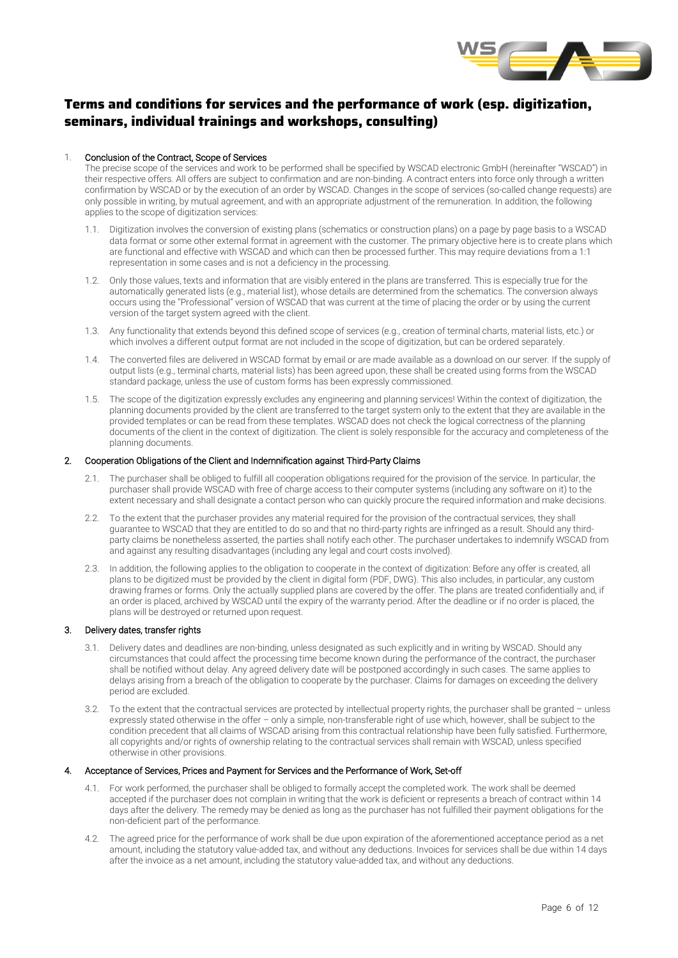

# **Terms and conditions for services and the performance of work (esp. digitization, seminars, individual trainings and workshops, consulting)**

# 1. Conclusion of the Contract, Scope of Services

The precise scope of the services and work to be performed shall be specified by WSCAD electronic GmbH (hereinafter "WSCAD") in their respective offers. All offers are subject to confirmation and are non-binding. A contract enters into force only through a written confirmation by WSCAD or by the execution of an order by WSCAD. Changes in the scope of services (so-called change requests) are only possible in writing, by mutual agreement, and with an appropriate adjustment of the remuneration. In addition, the following applies to the scope of digitization services:

- 1.1. Digitization involves the conversion of existing plans (schematics or construction plans) on a page by page basis to a WSCAD data format or some other external format in agreement with the customer. The primary objective here is to create plans which are functional and effective with WSCAD and which can then be processed further. This may require deviations from a 1:1 representation in some cases and is not a deficiency in the processing.
- 1.2. Only those values, texts and information that are visibly entered in the plans are transferred. This is especially true for the automatically generated lists (e.g., material list), whose details are determined from the schematics. The conversion always occurs using the "Professional" version of WSCAD that was current at the time of placing the order or by using the current version of the target system agreed with the client.
- 1.3. Any functionality that extends beyond this defined scope of services (e.g., creation of terminal charts, material lists, etc.) or which involves a different output format are not included in the scope of digitization, but can be ordered separately.
- 1.4. The converted files are delivered in WSCAD format by email or are made available as a download on our server. If the supply of output lists (e.g., terminal charts, material lists) has been agreed upon, these shall be created using forms from the WSCAD standard package, unless the use of custom forms has been expressly commissioned.
- 1.5. The scope of the digitization expressly excludes any engineering and planning services! Within the context of digitization, the planning documents provided by the client are transferred to the target system only to the extent that they are available in the provided templates or can be read from these templates. WSCAD does not check the logical correctness of the planning documents of the client in the context of digitization. The client is solely responsible for the accuracy and completeness of the planning documents.

# 2. Cooperation Obligations of the Client and Indemnification against Third-Party Claims

- 2.1. The purchaser shall be obliged to fulfill all cooperation obligations required for the provision of the service. In particular, the purchaser shall provide WSCAD with free of charge access to their computer systems (including any software on it) to the extent necessary and shall designate a contact person who can quickly procure the required information and make decisions.
- 2.2. To the extent that the purchaser provides any material required for the provision of the contractual services, they shall guarantee to WSCAD that they are entitled to do so and that no third-party rights are infringed as a result. Should any thirdparty claims be nonetheless asserted, the parties shall notify each other. The purchaser undertakes to indemnify WSCAD from and against any resulting disadvantages (including any legal and court costs involved).
- 2.3. In addition, the following applies to the obligation to cooperate in the context of digitization: Before any offer is created, all plans to be digitized must be provided by the client in digital form (PDF, DWG). This also includes, in particular, any custom drawing frames or forms. Only the actually supplied plans are covered by the offer. The plans are treated confidentially and, if an order is placed, archived by WSCAD until the expiry of the warranty period. After the deadline or if no order is placed, the plans will be destroyed or returned upon request.

### 3. Delivery dates, transfer rights

- 3.1. Delivery dates and deadlines are non-binding, unless designated as such explicitly and in writing by WSCAD. Should any circumstances that could affect the processing time become known during the performance of the contract, the purchaser shall be notified without delay. Any agreed delivery date will be postponed accordingly in such cases. The same applies to delays arising from a breach of the obligation to cooperate by the purchaser. Claims for damages on exceeding the delivery period are excluded.
- 3.2. To the extent that the contractual services are protected by intellectual property rights, the purchaser shall be granted unless expressly stated otherwise in the offer – only a simple, non-transferable right of use which, however, shall be subject to the condition precedent that all claims of WSCAD arising from this contractual relationship have been fully satisfied. Furthermore, all copyrights and/or rights of ownership relating to the contractual services shall remain with WSCAD, unless specified otherwise in other provisions.

# 4. Acceptance of Services, Prices and Payment for Services and the Performance of Work, Set-off

- 4.1. For work performed, the purchaser shall be obliged to formally accept the completed work. The work shall be deemed accepted if the purchaser does not complain in writing that the work is deficient or represents a breach of contract within 14 days after the delivery. The remedy may be denied as long as the purchaser has not fulfilled their payment obligations for the non-deficient part of the performance.
- 4.2. The agreed price for the performance of work shall be due upon expiration of the aforementioned acceptance period as a net amount, including the statutory value-added tax, and without any deductions. Invoices for services shall be due within 14 days after the invoice as a net amount, including the statutory value-added tax, and without any deductions.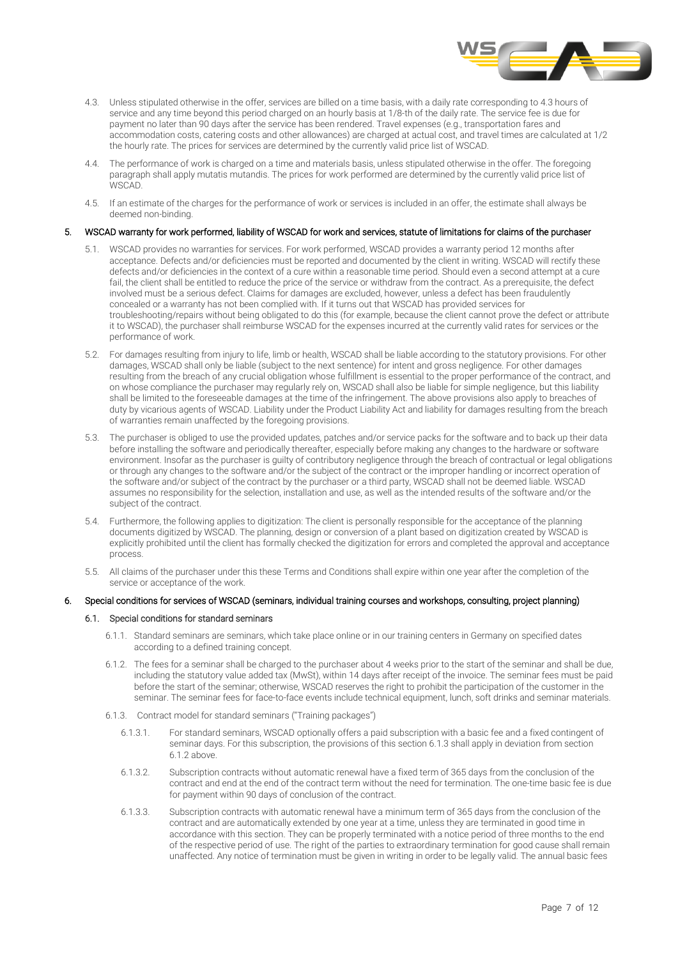

- 4.3. Unless stipulated otherwise in the offer, services are billed on a time basis, with a daily rate corresponding to 4.3 hours of service and any time beyond this period charged on an hourly basis at 1/8-th of the daily rate. The service fee is due for payment no later than 90 days after the service has been rendered. Travel expenses (e.g., transportation fares and accommodation costs, catering costs and other allowances) are charged at actual cost, and travel times are calculated at 1/2 the hourly rate. The prices for services are determined by the currently valid price list of WSCAD.
- The performance of work is charged on a time and materials basis, unless stipulated otherwise in the offer. The foregoing paragraph shall apply mutatis mutandis. The prices for work performed are determined by the currently valid price list of WSCAD.
- 4.5. If an estimate of the charges for the performance of work or services is included in an offer, the estimate shall always be deemed non-binding.

# 5. WSCAD warranty for work performed, liability of WSCAD for work and services, statute of limitations for claims of the purchaser

- 5.1. WSCAD provides no warranties for services. For work performed, WSCAD provides a warranty period 12 months after acceptance. Defects and/or deficiencies must be reported and documented by the client in writing. WSCAD will rectify these defects and/or deficiencies in the context of a cure within a reasonable time period. Should even a second attempt at a cure fail, the client shall be entitled to reduce the price of the service or withdraw from the contract. As a prerequisite, the defect involved must be a serious defect. Claims for damages are excluded, however, unless a defect has been fraudulently concealed or a warranty has not been complied with. If it turns out that WSCAD has provided services for troubleshooting/repairs without being obligated to do this (for example, because the client cannot prove the defect or attribute it to WSCAD), the purchaser shall reimburse WSCAD for the expenses incurred at the currently valid rates for services or the performance of work.
- 5.2. For damages resulting from injury to life, limb or health, WSCAD shall be liable according to the statutory provisions. For other damages, WSCAD shall only be liable (subject to the next sentence) for intent and gross negligence. For other damages resulting from the breach of any crucial obligation whose fulfillment is essential to the proper performance of the contract, and on whose compliance the purchaser may regularly rely on, WSCAD shall also be liable for simple negligence, but this liability shall be limited to the foreseeable damages at the time of the infringement. The above provisions also apply to breaches of duty by vicarious agents of WSCAD. Liability under the Product Liability Act and liability for damages resulting from the breach of warranties remain unaffected by the foregoing provisions.
- 5.3. The purchaser is obliged to use the provided updates, patches and/or service packs for the software and to back up their data before installing the software and periodically thereafter, especially before making any changes to the hardware or software environment. Insofar as the purchaser is guilty of contributory negligence through the breach of contractual or legal obligations or through any changes to the software and/or the subject of the contract or the improper handling or incorrect operation of the software and/or subject of the contract by the purchaser or a third party, WSCAD shall not be deemed liable. WSCAD assumes no responsibility for the selection, installation and use, as well as the intended results of the software and/or the subject of the contract.
- 5.4. Furthermore, the following applies to digitization: The client is personally responsible for the acceptance of the planning documents digitized by WSCAD. The planning, design or conversion of a plant based on digitization created by WSCAD is explicitly prohibited until the client has formally checked the digitization for errors and completed the approval and acceptance process.
- 5.5. All claims of the purchaser under this these Terms and Conditions shall expire within one year after the completion of the service or acceptance of the work.

# 6. Special conditions for services of WSCAD (seminars, individual training courses and workshops, consulting, project planning)

#### 6.1. Special conditions for standard seminars

- 6.1.1. Standard seminars are seminars, which take place online or in our training centers in Germany on specified dates according to a defined training concept.
- 6.1.2. The fees for a seminar shall be charged to the purchaser about 4 weeks prior to the start of the seminar and shall be due, including the statutory value added tax (MwSt), within 14 days after receipt of the invoice. The seminar fees must be paid before the start of the seminar; otherwise, WSCAD reserves the right to prohibit the participation of the customer in the seminar. The seminar fees for face-to-face events include technical equipment, lunch, soft drinks and seminar materials.
- 6.1.3. Contract model for standard seminars ("Training packages")
	- 6.1.3.1. For standard seminars, WSCAD optionally offers a paid subscription with a basic fee and a fixed contingent of seminar days. For this subscription, the provisions of this section 6.1.3 shall apply in deviation from section  $6.1.2$  above
	- 6.1.3.2. Subscription contracts without automatic renewal have a fixed term of 365 days from the conclusion of the contract and end at the end of the contract term without the need for termination. The one-time basic fee is due for payment within 90 days of conclusion of the contract.
	- 6.1.3.3. Subscription contracts with automatic renewal have a minimum term of 365 days from the conclusion of the contract and are automatically extended by one year at a time, unless they are terminated in good time in accordance with this section. They can be properly terminated with a notice period of three months to the end of the respective period of use. The right of the parties to extraordinary termination for good cause shall remain unaffected. Any notice of termination must be given in writing in order to be legally valid. The annual basic fees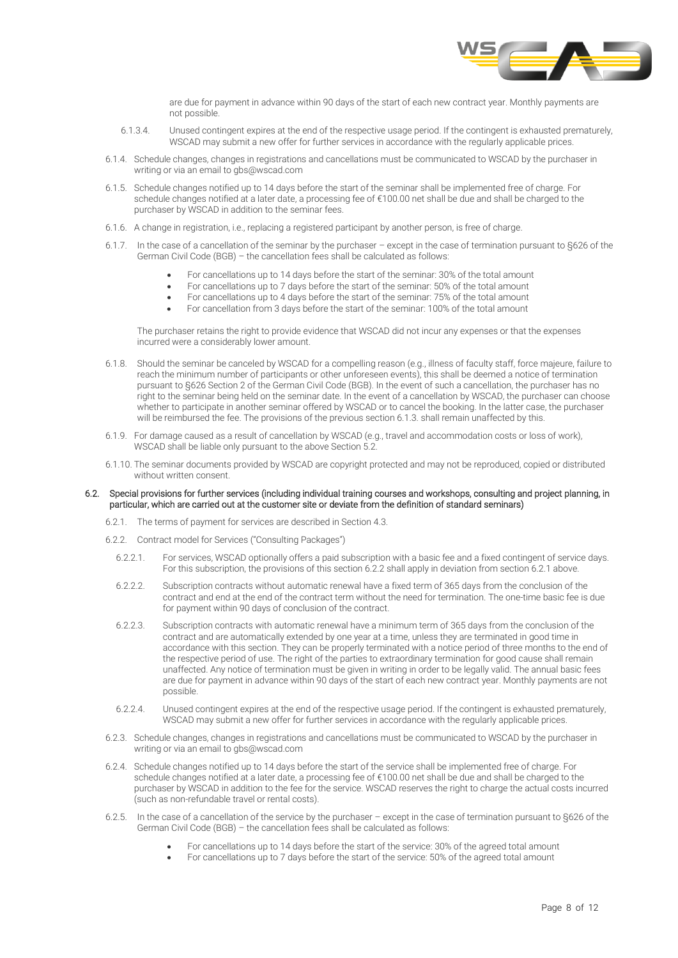

are due for payment in advance within 90 days of the start of each new contract year. Monthly payments are not possible.

- 6.1.3.4. Unused contingent expires at the end of the respective usage period. If the contingent is exhausted prematurely, WSCAD may submit a new offer for further services in accordance with the regularly applicable prices.
- 6.1.4. Schedule changes, changes in registrations and cancellations must be communicated to WSCAD by the purchaser in writing or via an email to gbs@wscad.com
- 6.1.5. Schedule changes notified up to 14 days before the start of the seminar shall be implemented free of charge. For schedule changes notified at a later date, a processing fee of €100.00 net shall be due and shall be charged to the purchaser by WSCAD in addition to the seminar fees.
- 6.1.6. A change in registration, i.e., replacing a registered participant by another person, is free of charge.
- 6.1.7. In the case of a cancellation of the seminar by the purchaser except in the case of termination pursuant to §626 of the German Civil Code (BGB) – the cancellation fees shall be calculated as follows:
	- For cancellations up to 14 days before the start of the seminar: 30% of the total amount
	- For cancellations up to 7 days before the start of the seminar: 50% of the total amount
	- For cancellations up to 4 days before the start of the seminar: 75% of the total amount
	- For cancellation from 3 days before the start of the seminar: 100% of the total amount

The purchaser retains the right to provide evidence that WSCAD did not incur any expenses or that the expenses incurred were a considerably lower amount.

- 6.1.8. Should the seminar be canceled by WSCAD for a compelling reason (e.g., illness of faculty staff, force majeure, failure to reach the minimum number of participants or other unforeseen events), this shall be deemed a notice of termination pursuant to §626 Section 2 of the German Civil Code (BGB). In the event of such a cancellation, the purchaser has no right to the seminar being held on the seminar date. In the event of a cancellation by WSCAD, the purchaser can choose whether to participate in another seminar offered by WSCAD or to cancel the booking. In the latter case, the purchaser will be reimbursed the fee. The provisions of the previous section 6.1.3. shall remain unaffected by this.
- 6.1.9. For damage caused as a result of cancellation by WSCAD (e.g., travel and accommodation costs or loss of work), WSCAD shall be liable only pursuant to the above Section 5.2.
- 6.1.10. The seminar documents provided by WSCAD are copyright protected and may not be reproduced, copied or distributed without written consent.

### 6.2. Special provisions for further services (including individual training courses and workshops, consulting and project planning, in particular, which are carried out at the customer site or deviate from the definition of standard seminars)

- 6.2.1. The terms of payment for services are described in Section 4.3.
- 6.2.2. Contract model for Services ("Consulting Packages")
	- 6.2.2.1. For services, WSCAD optionally offers a paid subscription with a basic fee and a fixed contingent of service days. For this subscription, the provisions of this section 6.2.2 shall apply in deviation from section 6.2.1 above.
	- 6.2.2.2. Subscription contracts without automatic renewal have a fixed term of 365 days from the conclusion of the contract and end at the end of the contract term without the need for termination. The one-time basic fee is due for payment within 90 days of conclusion of the contract.
	- 6.2.2.3. Subscription contracts with automatic renewal have a minimum term of 365 days from the conclusion of the contract and are automatically extended by one year at a time, unless they are terminated in good time in accordance with this section. They can be properly terminated with a notice period of three months to the end of the respective period of use. The right of the parties to extraordinary termination for good cause shall remain unaffected. Any notice of termination must be given in writing in order to be legally valid. The annual basic fees are due for payment in advance within 90 days of the start of each new contract year. Monthly payments are not possible.
	- 6.2.2.4. Unused contingent expires at the end of the respective usage period. If the contingent is exhausted prematurely, WSCAD may submit a new offer for further services in accordance with the regularly applicable prices.
- 6.2.3. Schedule changes, changes in registrations and cancellations must be communicated to WSCAD by the purchaser in writing or via an email to gbs@wscad.com
- 6.2.4. Schedule changes notified up to 14 days before the start of the service shall be implemented free of charge. For schedule changes notified at a later date, a processing fee of €100.00 net shall be due and shall be charged to the purchaser by WSCAD in addition to the fee for the service. WSCAD reserves the right to charge the actual costs incurred (such as non-refundable travel or rental costs).
- 6.2.5. In the case of a cancellation of the service by the purchaser except in the case of termination pursuant to §626 of the German Civil Code (BGB) – the cancellation fees shall be calculated as follows:
	- For cancellations up to 14 days before the start of the service: 30% of the agreed total amount
	- For cancellations up to 7 days before the start of the service: 50% of the agreed total amount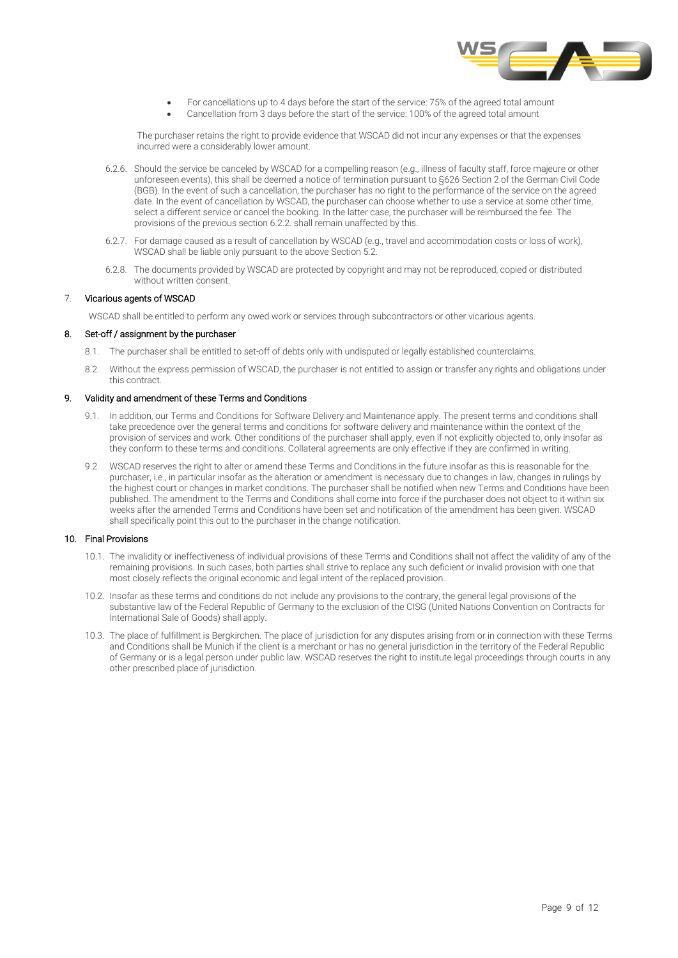

- For cancellations up to 4 days before the start of the service: 75% of the agreed total amount
- Cancellation from 3 days before the start of the service: 100% of the agreed total amount

The purchaser retains the right to provide evidence that WSCAD did not incur any expenses or that the expenses incurred were a considerably lower amount.

- 6.2.6. Should the service be canceled by WSCAD for a compelling reason (e.g., illness of faculty staff, force majeure or other unforeseen events), this shall be deemed a notice of termination pursuant to §626 Section 2 of the German Civil Code (BGB). In the event of such a cancellation, the purchaser has no right to the performance of the service on the agreed date. In the event of cancellation by WSCAD, the purchaser can choose whether to use a service at some other time, select a different service or cancel the booking. In the latter case, the purchaser will be reimbursed the fee. The provisions of the previous section 6.2.2. shall remain unaffected by this.
- 6.2.7. For damage caused as a result of cancellation by WSCAD (e.g., travel and accommodation costs or loss of work), WSCAD shall be liable only pursuant to the above Section 5.2.
- 6.2.8. The documents provided by WSCAD are protected by copyright and may not be reproduced, copied or distributed without written consent.

# 7. Vicarious agents of WSCAD

WSCAD shall be entitled to perform any owed work or services through subcontractors or other vicarious agents.

# 8. Set-off / assignment by the purchaser

- 8.1. The purchaser shall be entitled to set-off of debts only with undisputed or legally established counterclaims.
- 8.2. Without the express permission of WSCAD, the purchaser is not entitled to assign or transfer any rights and obligations under this contract.

# 9. Validity and amendment of these Terms and Conditions

- 9.1. In addition, our Terms and Conditions for Software Delivery and Maintenance apply. The present terms and conditions shall take precedence over the general terms and conditions for software delivery and maintenance within the context of the provision of services and work. Other conditions of the purchaser shall apply, even if not explicitly objected to, only insofar as they conform to these terms and conditions. Collateral agreements are only effective if they are confirmed in writing.
- 9.2. WSCAD reserves the right to alter or amend these Terms and Conditions in the future insofar as this is reasonable for the purchaser, i.e., in particular insofar as the alteration or amendment is necessary due to changes in law, changes in rulings by the highest court or changes in market conditions. The purchaser shall be notified when new Terms and Conditions have been published. The amendment to the Terms and Conditions shall come into force if the purchaser does not object to it within six weeks after the amended Terms and Conditions have been set and notification of the amendment has been given. WSCAD shall specifically point this out to the purchaser in the change notification.

# 10. Final Provisions

- 10.1. The invalidity or ineffectiveness of individual provisions of these Terms and Conditions shall not affect the validity of any of the remaining provisions. In such cases, both parties shall strive to replace any such deficient or invalid provision with one that most closely reflects the original economic and legal intent of the replaced provision.
- 10.2. Insofar as these terms and conditions do not include any provisions to the contrary, the general legal provisions of the substantive law of the Federal Republic of Germany to the exclusion of the CISG (United Nations Convention on Contracts for International Sale of Goods) shall apply.
- 10.3. The place of fulfillment is Bergkirchen. The place of jurisdiction for any disputes arising from or in connection with these Terms and Conditions shall be Munich if the client is a merchant or has no general jurisdiction in the territory of the Federal Republic of Germany or is a legal person under public law. WSCAD reserves the right to institute legal proceedings through courts in any other prescribed place of jurisdiction.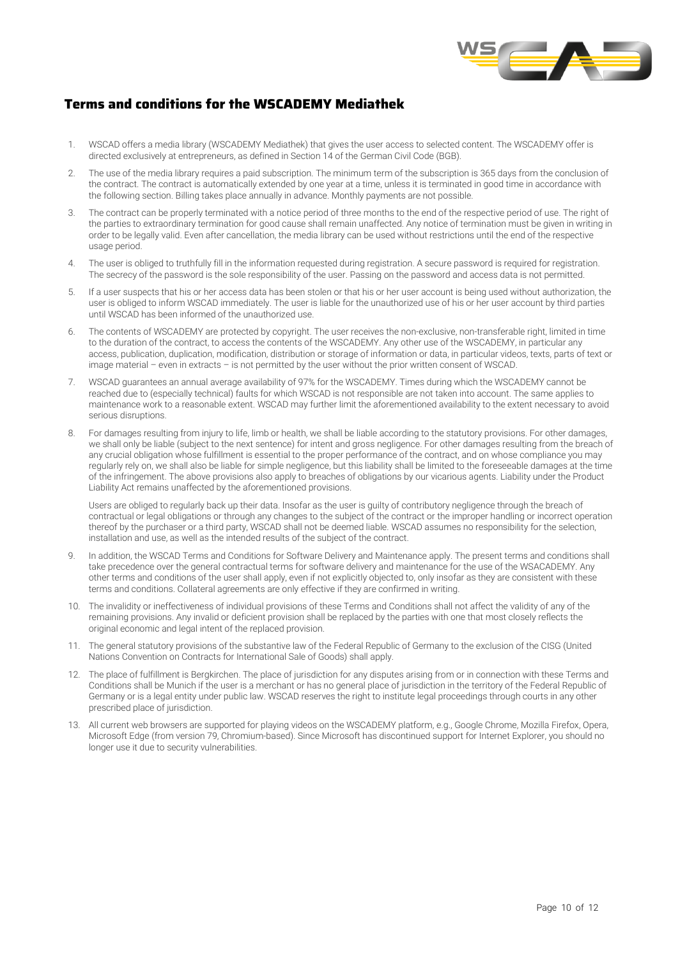

# **Terms and conditions for the WSCADEMY Mediathek**

- 1. WSCAD offers a media library (WSCADEMY Mediathek) that gives the user access to selected content. The WSCADEMY offer is directed exclusively at entrepreneurs, as defined in Section 14 of the German Civil Code (BGB).
- 2. The use of the media library requires a paid subscription. The minimum term of the subscription is 365 days from the conclusion of the contract. The contract is automatically extended by one year at a time, unless it is terminated in good time in accordance with the following section. Billing takes place annually in advance. Monthly payments are not possible.
- 3. The contract can be properly terminated with a notice period of three months to the end of the respective period of use. The right of the parties to extraordinary termination for good cause shall remain unaffected. Any notice of termination must be given in writing in order to be legally valid. Even after cancellation, the media library can be used without restrictions until the end of the respective usage period.
- 4. The user is obliged to truthfully fill in the information requested during registration. A secure password is required for registration. The secrecy of the password is the sole responsibility of the user. Passing on the password and access data is not permitted.
- 5. If a user suspects that his or her access data has been stolen or that his or her user account is being used without authorization, the user is obliged to inform WSCAD immediately. The user is liable for the unauthorized use of his or her user account by third parties until WSCAD has been informed of the unauthorized use.
- 6. The contents of WSCADEMY are protected by copyright. The user receives the non-exclusive, non-transferable right, limited in time to the duration of the contract, to access the contents of the WSCADEMY. Any other use of the WSCADEMY, in particular any access, publication, duplication, modification, distribution or storage of information or data, in particular videos, texts, parts of text or image material – even in extracts – is not permitted by the user without the prior written consent of WSCAD.
- 7. WSCAD guarantees an annual average availability of 97% for the WSCADEMY. Times during which the WSCADEMY cannot be reached due to (especially technical) faults for which WSCAD is not responsible are not taken into account. The same applies to maintenance work to a reasonable extent. WSCAD may further limit the aforementioned availability to the extent necessary to avoid serious disruptions.
- 8. For damages resulting from injury to life, limb or health, we shall be liable according to the statutory provisions. For other damages, we shall only be liable (subject to the next sentence) for intent and gross negligence. For other damages resulting from the breach of any crucial obligation whose fulfillment is essential to the proper performance of the contract, and on whose compliance you may regularly rely on, we shall also be liable for simple negligence, but this liability shall be limited to the foreseeable damages at the time of the infringement. The above provisions also apply to breaches of obligations by our vicarious agents. Liability under the Product Liability Act remains unaffected by the aforementioned provisions.

Users are obliged to regularly back up their data. Insofar as the user is guilty of contributory negligence through the breach of contractual or legal obligations or through any changes to the subject of the contract or the improper handling or incorrect operation thereof by the purchaser or a third party, WSCAD shall not be deemed liable. WSCAD assumes no responsibility for the selection, installation and use, as well as the intended results of the subject of the contract.

- In addition, the WSCAD Terms and Conditions for Software Delivery and Maintenance apply. The present terms and conditions shall take precedence over the general contractual terms for software delivery and maintenance for the use of the WSACADEMY. Any other terms and conditions of the user shall apply, even if not explicitly objected to, only insofar as they are consistent with these terms and conditions. Collateral agreements are only effective if they are confirmed in writing.
- 10. The invalidity or ineffectiveness of individual provisions of these Terms and Conditions shall not affect the validity of any of the remaining provisions. Any invalid or deficient provision shall be replaced by the parties with one that most closely reflects the original economic and legal intent of the replaced provision.
- 11. The general statutory provisions of the substantive law of the Federal Republic of Germany to the exclusion of the CISG (United Nations Convention on Contracts for International Sale of Goods) shall apply.
- 12. The place of fulfillment is Bergkirchen. The place of jurisdiction for any disputes arising from or in connection with these Terms and Conditions shall be Munich if the user is a merchant or has no general place of jurisdiction in the territory of the Federal Republic of Germany or is a legal entity under public law. WSCAD reserves the right to institute legal proceedings through courts in any other prescribed place of jurisdiction.
- 13. All current web browsers are supported for playing videos on the WSCADEMY platform, e.g., Google Chrome, Mozilla Firefox, Opera, Microsoft Edge (from version 79, Chromium-based). Since Microsoft has discontinued support for Internet Explorer, you should no longer use it due to security vulnerabilities.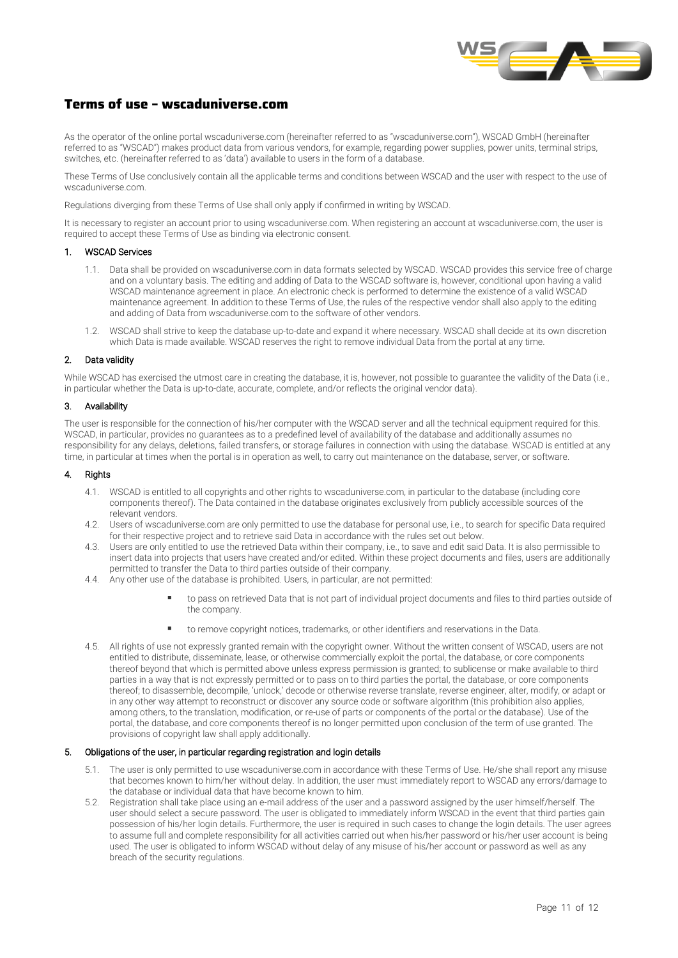

# **Terms of use – wscaduniverse.com**

As the operator of the online portal wscaduniverse.com (hereinafter referred to as "wscaduniverse.com"), WSCAD GmbH (hereinafter referred to as "WSCAD") makes product data from various vendors, for example, regarding power supplies, power units, terminal strips, switches, etc. (hereinafter referred to as 'data') available to users in the form of a database.

These Terms of Use conclusively contain all the applicable terms and conditions between WSCAD and the user with respect to the use of wscaduniverse.com.

Regulations diverging from these Terms of Use shall only apply if confirmed in writing by WSCAD.

It is necessary to register an account prior to using wscaduniverse.com. When registering an account at wscaduniverse.com, the user is required to accept these Terms of Use as binding via electronic consent.

#### 1. WSCAD Services

- 1.1. Data shall be provided on wscaduniverse.com in data formats selected by WSCAD. WSCAD provides this service free of charge and on a voluntary basis. The editing and adding of Data to the WSCAD software is, however, conditional upon having a valid WSCAD maintenance agreement in place. An electronic check is performed to determine the existence of a valid WSCAD maintenance agreement. In addition to these Terms of Use, the rules of the respective vendor shall also apply to the editing and adding of Data from wscaduniverse.com to the software of other vendors.
- 1.2. WSCAD shall strive to keep the database up-to-date and expand it where necessary. WSCAD shall decide at its own discretion which Data is made available. WSCAD reserves the right to remove individual Data from the portal at any time.

#### 2. Data validity

While WSCAD has exercised the utmost care in creating the database, it is, however, not possible to guarantee the validity of the Data (i.e., in particular whether the Data is up-to-date, accurate, complete, and/or reflects the original vendor data).

# 3. Availability

The user is responsible for the connection of his/her computer with the WSCAD server and all the technical equipment required for this. WSCAD, in particular, provides no guarantees as to a predefined level of availability of the database and additionally assumes no responsibility for any delays, deletions, failed transfers, or storage failures in connection with using the database. WSCAD is entitled at any time, in particular at times when the portal is in operation as well, to carry out maintenance on the database, server, or software.

#### 4. Rights

- 4.1. WSCAD is entitled to all copyrights and other rights to wscaduniverse.com, in particular to the database (including core components thereof). The Data contained in the database originates exclusively from publicly accessible sources of the relevant vendors.
- 4.2. Users of wscaduniverse.com are only permitted to use the database for personal use, i.e., to search for specific Data required for their respective project and to retrieve said Data in accordance with the rules set out below.
- 4.3. Users are only entitled to use the retrieved Data within their company, i.e., to save and edit said Data. It is also permissible to insert data into projects that users have created and/or edited. Within these project documents and files, users are additionally permitted to transfer the Data to third parties outside of their company.
- 4.4. Any other use of the database is prohibited. Users, in particular, are not permitted:
	- to pass on retrieved Data that is not part of individual project documents and files to third parties outside of the company.
	- to remove copyright notices, trademarks, or other identifiers and reservations in the Data.
- 4.5. All rights of use not expressly granted remain with the copyright owner. Without the written consent of WSCAD, users are not entitled to distribute, disseminate, lease, or otherwise commercially exploit the portal, the database, or core components thereof beyond that which is permitted above unless express permission is granted; to sublicense or make available to third parties in a way that is not expressly permitted or to pass on to third parties the portal, the database, or core components thereof; to disassemble, decompile, 'unlock,' decode or otherwise reverse translate, reverse engineer, alter, modify, or adapt or in any other way attempt to reconstruct or discover any source code or software algorithm (this prohibition also applies, among others, to the translation, modification, or re-use of parts or components of the portal or the database). Use of the portal, the database, and core components thereof is no longer permitted upon conclusion of the term of use granted. The provisions of copyright law shall apply additionally.

# 5. Obligations of the user, in particular regarding registration and login details

- 5.1. The user is only permitted to use wscaduniverse.com in accordance with these Terms of Use. He/she shall report any misuse that becomes known to him/her without delay. In addition, the user must immediately report to WSCAD any errors/damage to the database or individual data that have become known to him.
- 5.2. Registration shall take place using an e-mail address of the user and a password assigned by the user himself/herself. The user should select a secure password. The user is obligated to immediately inform WSCAD in the event that third parties gain possession of his/her login details. Furthermore, the user is required in such cases to change the login details. The user agrees to assume full and complete responsibility for all activities carried out when his/her password or his/her user account is being used. The user is obligated to inform WSCAD without delay of any misuse of his/her account or password as well as any breach of the security regulations.